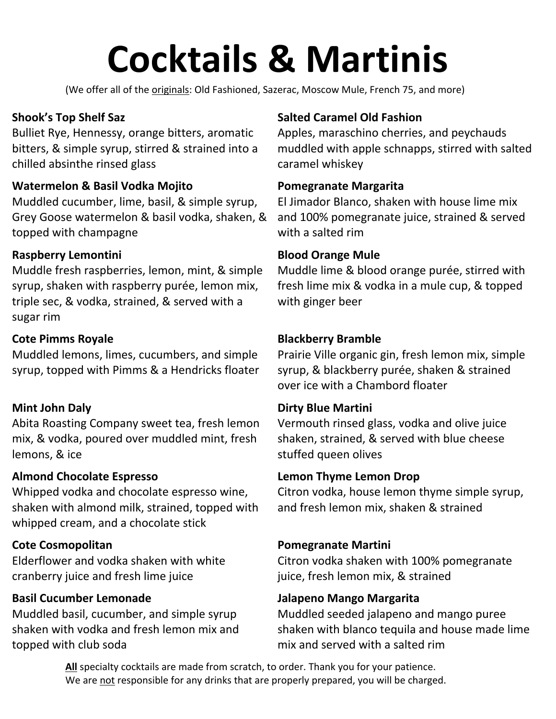# **Cocktails & Martinis**

(We offer all of the originals: Old Fashioned, Sazerac, Moscow Mule, French 75, and more)

# **Shook's Top Shelf Saz**

Bulliet Rye, Hennessy, orange bitters, aromatic bitters, & simple syrup, stirred & strained into a chilled absinthe rinsed glass

## **Watermelon & Basil Vodka Mojito**

Muddled cucumber, lime, basil, & simple syrup, Grey Goose watermelon & basil vodka, shaken, & topped with champagne

# **Raspberry Lemontini**

Muddle fresh raspberries, lemon, mint, & simple syrup, shaken with raspberry purée, lemon mix, triple sec, & vodka, strained, & served with a sugar rim

# **Cote Pimms Royale**

Muddled lemons, limes, cucumbers, and simple syrup, topped with Pimms & a Hendricks floater

# **Mint John Daly**

Abita Roasting Company sweet tea, fresh lemon mix, & vodka, poured over muddled mint, fresh lemons, & ice

## **Almond Chocolate Espresso**

Whipped vodka and chocolate espresso wine, shaken with almond milk, strained, topped with whipped cream, and a chocolate stick

# **Cote Cosmopolitan**

Elderflower and vodka shaken with white cranberry juice and fresh lime juice

# **Basil Cucumber Lemonade**

Muddled basil, cucumber, and simple syrup shaken with vodka and fresh lemon mix and topped with club soda

# **Salted Caramel Old Fashion**

Apples, maraschino cherries, and peychauds muddled with apple schnapps, stirred with salted caramel whiskey

### **Pomegranate Margarita**

El Jimador Blanco, shaken with house lime mix and 100% pomegranate juice, strained & served with a salted rim

#### **Blood Orange Mule**

Muddle lime & blood orange purée, stirred with fresh lime mix & vodka in a mule cup, & topped with ginger beer

## **Blackberry Bramble**

Prairie Ville organic gin, fresh lemon mix, simple syrup, & blackberry purée, shaken & strained over ice with a Chambord floater

#### **Dirty Blue Martini**

Vermouth rinsed glass, vodka and olive juice shaken, strained, & served with blue cheese stuffed queen olives

#### **Lemon Thyme Lemon Drop**

Citron vodka, house lemon thyme simple syrup, and fresh lemon mix, shaken & strained

## **Pomegranate Martini**

Citron vodka shaken with 100% pomegranate juice, fresh lemon mix, & strained

## **Jalapeno Mango Margarita**

Muddled seeded jalapeno and mango puree shaken with blanco tequila and house made lime mix and served with a salted rim

**All** specialty cocktails are made from scratch, to order. Thank you for your patience. We are not responsible for any drinks that are properly prepared, you will be charged.